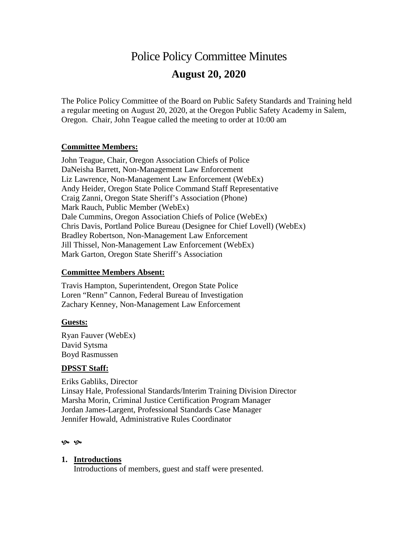# Police Policy Committee Minutes **August 20, 2020**

The Police Policy Committee of the Board on Public Safety Standards and Training held a regular meeting on August 20, 2020, at the Oregon Public Safety Academy in Salem, Oregon. Chair, John Teague called the meeting to order at 10:00 am

### **Committee Members:**

John Teague, Chair, Oregon Association Chiefs of Police DaNeisha Barrett, Non-Management Law Enforcement Liz Lawrence, Non-Management Law Enforcement (WebEx) Andy Heider, Oregon State Police Command Staff Representative Craig Zanni, Oregon State Sheriff's Association (Phone) Mark Rauch, Public Member (WebEx) Dale Cummins, Oregon Association Chiefs of Police (WebEx) Chris Davis, Portland Police Bureau (Designee for Chief Lovell) (WebEx) Bradley Robertson, Non-Management Law Enforcement Jill Thissel, Non-Management Law Enforcement (WebEx) Mark Garton, Oregon State Sheriff's Association

#### **Committee Members Absent:**

Travis Hampton, Superintendent, Oregon State Police Loren "Renn" Cannon, Federal Bureau of Investigation Zachary Kenney, Non-Management Law Enforcement

#### **Guests:**

Ryan Fauver (WebEx) David Sytsma Boyd Rasmussen

#### **DPSST Staff:**

Eriks Gabliks, Director Linsay Hale, Professional Standards/Interim Training Division Director Marsha Morin, Criminal Justice Certification Program Manager Jordan James-Largent, Professional Standards Case Manager Jennifer Howald, Administrative Rules Coordinator

#### ৩৯৩৯

#### **1. Introductions**

Introductions of members, guest and staff were presented.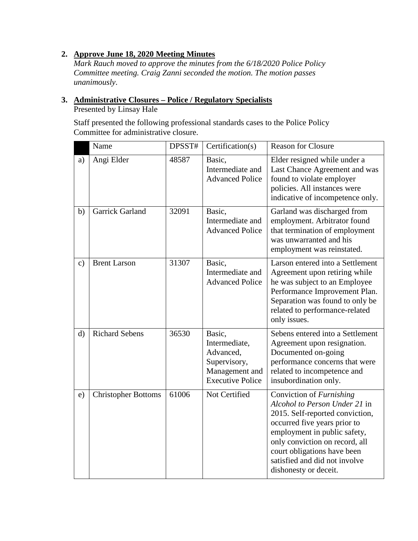## **2. Approve June 18, 2020 Meeting Minutes**

*Mark Rauch moved to approve the minutes from the 6/18/2020 Police Policy Committee meeting. Craig Zanni seconded the motion. The motion passes unanimously*.

## **3. Administrative Closures – Police / Regulatory Specialists**

Presented by Linsay Hale

Staff presented the following professional standards cases to the Police Policy Committee for administrative closure.

|               | Name                       | DPSST# | Certification(s)                                                                                  | <b>Reason for Closure</b>                                                                                                                                                                                                                                                                      |
|---------------|----------------------------|--------|---------------------------------------------------------------------------------------------------|------------------------------------------------------------------------------------------------------------------------------------------------------------------------------------------------------------------------------------------------------------------------------------------------|
| a)            | Angi Elder                 | 48587  | Basic,<br>Intermediate and<br><b>Advanced Police</b>                                              | Elder resigned while under a<br>Last Chance Agreement and was<br>found to violate employer<br>policies. All instances were<br>indicative of incompetence only.                                                                                                                                 |
| b)            | <b>Garrick Garland</b>     | 32091  | Basic,<br>Intermediate and<br><b>Advanced Police</b>                                              | Garland was discharged from<br>employment. Arbitrator found<br>that termination of employment<br>was unwarranted and his<br>employment was reinstated.                                                                                                                                         |
| $\mathbf{c})$ | <b>Brent Larson</b>        | 31307  | Basic,<br>Intermediate and<br><b>Advanced Police</b>                                              | Larson entered into a Settlement<br>Agreement upon retiring while<br>he was subject to an Employee<br>Performance Improvement Plan.<br>Separation was found to only be<br>related to performance-related<br>only issues.                                                                       |
| d)            | <b>Richard Sebens</b>      | 36530  | Basic,<br>Intermediate,<br>Advanced,<br>Supervisory,<br>Management and<br><b>Executive Police</b> | Sebens entered into a Settlement<br>Agreement upon resignation.<br>Documented on-going<br>performance concerns that were<br>related to incompetence and<br>insubordination only.                                                                                                               |
| e)            | <b>Christopher Bottoms</b> | 61006  | Not Certified                                                                                     | Conviction of <i>Furnishing</i><br>Alcohol to Person Under 21 in<br>2015. Self-reported conviction,<br>occurred five years prior to<br>employment in public safety,<br>only conviction on record, all<br>court obligations have been<br>satisfied and did not involve<br>dishonesty or deceit. |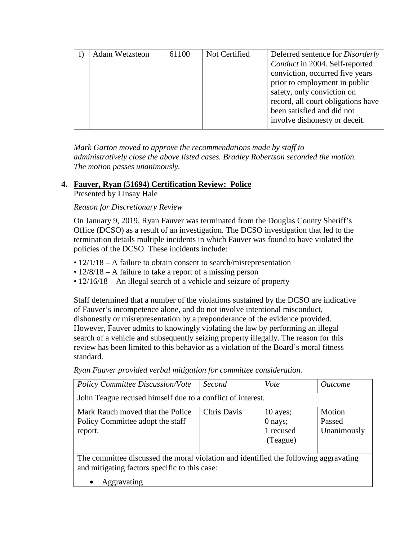| Adam Wetzsteon | 61100 | Not Certified | Deferred sentence for <i>Disorderly</i> |
|----------------|-------|---------------|-----------------------------------------|
|                |       |               | Conduct in 2004. Self-reported          |
|                |       |               | conviction, occurred five years         |
|                |       |               | prior to employment in public           |
|                |       |               | safety, only conviction on              |
|                |       |               | record, all court obligations have      |
|                |       |               | been satisfied and did not              |
|                |       |               | involve dishonesty or deceit.           |

*Mark Garton moved to approve the recommendations made by staff to administratively close the above listed cases. Bradley Robertson seconded the motion. The motion passes unanimously.* 

## **4. Fauver, Ryan (51694) Certification Review: Police**

Presented by Linsay Hale

## *Reason for Discretionary Review*

On January 9, 2019, Ryan Fauver was terminated from the Douglas County Sheriff's Office (DCSO) as a result of an investigation. The DCSO investigation that led to the termination details multiple incidents in which Fauver was found to have violated the policies of the DCSO. These incidents include:

- 12/1/18 A failure to obtain consent to search/misrepresentation
- 12/8/18 A failure to take a report of a missing person
- 12/16/18 An illegal search of a vehicle and seizure of property

Staff determined that a number of the violations sustained by the DCSO are indicative of Fauver's incompetence alone, and do not involve intentional misconduct, dishonestly or misrepresentation by a preponderance of the evidence provided. However, Fauver admits to knowingly violating the law by performing an illegal search of a vehicle and subsequently seizing property illegally. The reason for this review has been limited to this behavior as a violation of the Board's moral fitness standard.

| <b>Policy Committee Discussion/Vote</b>                                                                                               | Second      | Vote                                         | <i><u>Outcome</u></i>           |  |  |
|---------------------------------------------------------------------------------------------------------------------------------------|-------------|----------------------------------------------|---------------------------------|--|--|
| John Teague recused himself due to a conflict of interest.                                                                            |             |                                              |                                 |  |  |
| Mark Rauch moved that the Police<br>Policy Committee adopt the staff<br>report.                                                       | Chris Davis | 10 ayes;<br>0 nays;<br>1 recused<br>(Teague) | Motion<br>Passed<br>Unanimously |  |  |
| The committee discussed the moral violation and identified the following aggravating<br>and mitigating factors specific to this case: |             |                                              |                                 |  |  |

*Ryan Fauver provided verbal mitigation for committee consideration.*

• Aggravating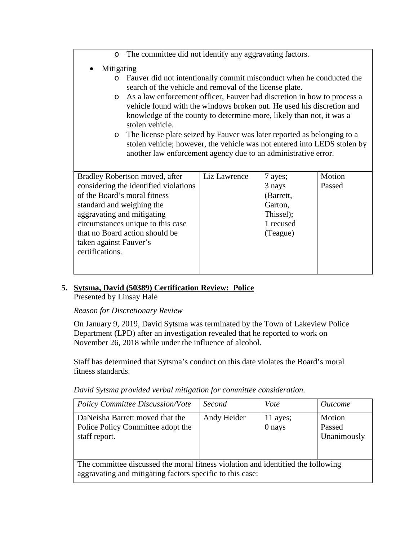| The committee did not identify any aggravating factors.<br>$\circ$                                                                                                                                                                                                                                                                                                                                                                                                                                                                                                                                                                            |                                                                                 |                  |  |  |
|-----------------------------------------------------------------------------------------------------------------------------------------------------------------------------------------------------------------------------------------------------------------------------------------------------------------------------------------------------------------------------------------------------------------------------------------------------------------------------------------------------------------------------------------------------------------------------------------------------------------------------------------------|---------------------------------------------------------------------------------|------------------|--|--|
| Mitigating<br>Fauver did not intentionally commit misconduct when he conducted the<br>$\circ$<br>search of the vehicle and removal of the license plate.<br>o As a law enforcement officer, Fauver had discretion in how to process a<br>vehicle found with the windows broken out. He used his discretion and<br>knowledge of the county to determine more, likely than not, it was a<br>stolen vehicle.<br>The license plate seized by Fauver was later reported as belonging to a<br>$\circ$<br>stolen vehicle; however, the vehicle was not entered into LEDS stolen by<br>another law enforcement agency due to an administrative error. |                                                                                 |                  |  |  |
| Bradley Robertson moved, after<br>considering the identified violations<br>of the Board's moral fitness<br>standard and weighing the<br>aggravating and mitigating<br>circumstances unique to this case<br>that no Board action should be<br>taken against Fauver's<br>certifications.                                                                                                                                                                                                                                                                                                                                                        | 7 ayes;<br>3 nays<br>(Barrett,<br>Garton,<br>Thissel);<br>1 recused<br>(Teague) | Motion<br>Passed |  |  |

## **5. Sytsma, David (50389) Certification Review: Police**

Presented by Linsay Hale

## *Reason for Discretionary Review*

On January 9, 2019, David Sytsma was terminated by the Town of Lakeview Police Department (LPD) after an investigation revealed that he reported to work on November 26, 2018 while under the influence of alcohol.

Staff has determined that Sytsma's conduct on this date violates the Board's moral fitness standards.

*David Sytsma provided verbal mitigation for committee consideration.*

| <b>Policy Committee Discussion/Vote</b>                                                                                                       | Second      | Vote               | <i><u>Outcome</u></i>           |  |  |
|-----------------------------------------------------------------------------------------------------------------------------------------------|-------------|--------------------|---------------------------------|--|--|
| DaNeisha Barrett moved that the<br>Police Policy Committee adopt the<br>staff report.                                                         | Andy Heider | 11 ayes;<br>0 nays | Motion<br>Passed<br>Unanimously |  |  |
| The committee discussed the moral fitness violation and identified the following<br>aggravating and mitigating factors specific to this case: |             |                    |                                 |  |  |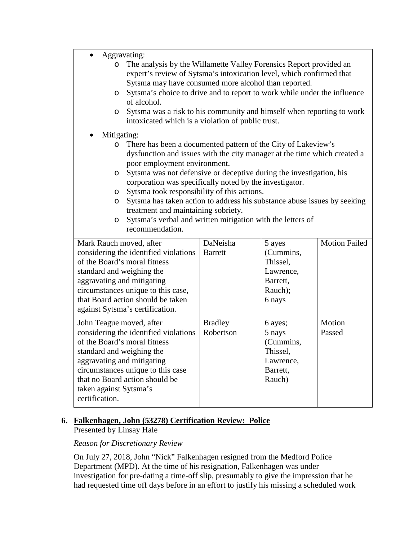| Aggravating: |  |
|--------------|--|
|--------------|--|

| The analysis by the Willamette Valley Forensics Report provided an<br>O<br>expert's review of Sytsma's intoxication level, which confirmed that<br>Sytsma may have consumed more alcohol than reported.<br>Sytsma's choice to drive and to report to work while under the influence<br>$\circ$<br>of alcohol.<br>Sytsma was a risk to his community and himself when reporting to work<br>O<br>intoxicated which is a violation of public trust. |                                                                                                                                                                           |                |           |                      |  |  |  |
|--------------------------------------------------------------------------------------------------------------------------------------------------------------------------------------------------------------------------------------------------------------------------------------------------------------------------------------------------------------------------------------------------------------------------------------------------|---------------------------------------------------------------------------------------------------------------------------------------------------------------------------|----------------|-----------|----------------------|--|--|--|
|                                                                                                                                                                                                                                                                                                                                                                                                                                                  | Mitigating:                                                                                                                                                               |                |           |                      |  |  |  |
| $\circ$                                                                                                                                                                                                                                                                                                                                                                                                                                          | There has been a documented pattern of the City of Lakeview's<br>dysfunction and issues with the city manager at the time which created a<br>poor employment environment. |                |           |                      |  |  |  |
| O                                                                                                                                                                                                                                                                                                                                                                                                                                                | Sytsma was not defensive or deceptive during the investigation, his<br>corporation was specifically noted by the investigator.                                            |                |           |                      |  |  |  |
| $\circ$                                                                                                                                                                                                                                                                                                                                                                                                                                          | Sytsma took responsibility of this actions.                                                                                                                               |                |           |                      |  |  |  |
| $\circ$                                                                                                                                                                                                                                                                                                                                                                                                                                          | Sytsma has taken action to address his substance abuse issues by seeking                                                                                                  |                |           |                      |  |  |  |
| treatment and maintaining sobriety.<br>Sytsma's verbal and written mitigation with the letters of<br>$\circ$<br>recommendation.                                                                                                                                                                                                                                                                                                                  |                                                                                                                                                                           |                |           |                      |  |  |  |
| Mark Rauch moved, after                                                                                                                                                                                                                                                                                                                                                                                                                          |                                                                                                                                                                           | DaNeisha       | 5 ayes    | <b>Motion Failed</b> |  |  |  |
|                                                                                                                                                                                                                                                                                                                                                                                                                                                  | considering the identified violations                                                                                                                                     | <b>Barrett</b> | (Cummins, |                      |  |  |  |
|                                                                                                                                                                                                                                                                                                                                                                                                                                                  | of the Board's moral fitness                                                                                                                                              |                | Thissel,  |                      |  |  |  |
| standard and weighing the                                                                                                                                                                                                                                                                                                                                                                                                                        |                                                                                                                                                                           |                | Lawrence, |                      |  |  |  |
| aggravating and mitigating                                                                                                                                                                                                                                                                                                                                                                                                                       |                                                                                                                                                                           |                | Barrett,  |                      |  |  |  |
|                                                                                                                                                                                                                                                                                                                                                                                                                                                  | circumstances unique to this case,                                                                                                                                        |                | Rauch);   |                      |  |  |  |
|                                                                                                                                                                                                                                                                                                                                                                                                                                                  | that Board action should be taken<br>against Sytsma's certification.                                                                                                      |                | 6 nays    |                      |  |  |  |
| John Teague moved, after                                                                                                                                                                                                                                                                                                                                                                                                                         |                                                                                                                                                                           | <b>Bradley</b> | 6 ayes;   | Motion               |  |  |  |
|                                                                                                                                                                                                                                                                                                                                                                                                                                                  | considering the identified violations                                                                                                                                     | Robertson      | 5 nays    | Passed               |  |  |  |
|                                                                                                                                                                                                                                                                                                                                                                                                                                                  | of the Board's moral fitness                                                                                                                                              |                | (Cummins, |                      |  |  |  |
| standard and weighing the                                                                                                                                                                                                                                                                                                                                                                                                                        |                                                                                                                                                                           |                | Thissel,  |                      |  |  |  |
| aggravating and mitigating                                                                                                                                                                                                                                                                                                                                                                                                                       |                                                                                                                                                                           |                | Lawrence, |                      |  |  |  |
| circumstances unique to this case                                                                                                                                                                                                                                                                                                                                                                                                                |                                                                                                                                                                           |                | Barrett,  |                      |  |  |  |
|                                                                                                                                                                                                                                                                                                                                                                                                                                                  | that no Board action should be                                                                                                                                            |                | Rauch)    |                      |  |  |  |
| taken against Sytsma's<br>certification.                                                                                                                                                                                                                                                                                                                                                                                                         |                                                                                                                                                                           |                |           |                      |  |  |  |

## **6. Falkenhagen, John (53278) Certification Review: Police**

Presented by Linsay Hale

#### *Reason for Discretionary Review*

On July 27, 2018, John "Nick" Falkenhagen resigned from the Medford Police Department (MPD). At the time of his resignation, Falkenhagen was under investigation for pre-dating a time-off slip, presumably to give the impression that he had requested time off days before in an effort to justify his missing a scheduled work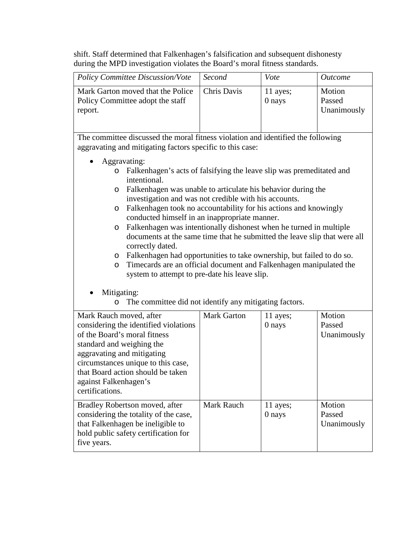shift. Staff determined that Falkenhagen's falsification and subsequent dishonesty during the MPD investigation violates the Board's moral fitness standards.

| Policy Committee Discussion/Vote                                                        | Second      | Vote               | <i>Outcome</i>                  |
|-----------------------------------------------------------------------------------------|-------------|--------------------|---------------------------------|
| Mark Garton moved that the Police<br><b>Policy Committee adopt the staff</b><br>report. | Chris Davis | 11 ayes;<br>0 nays | Motion<br>Passed<br>Unanimously |

The committee discussed the moral fitness violation and identified the following aggravating and mitigating factors specific to this case:

- Aggravating:
	- o Falkenhagen's acts of falsifying the leave slip was premeditated and intentional.
	- o Falkenhagen was unable to articulate his behavior during the investigation and was not credible with his accounts.
	- o Falkenhagen took no accountability for his actions and knowingly conducted himself in an inappropriate manner.
	- o Falkenhagen was intentionally dishonest when he turned in multiple documents at the same time that he submitted the leave slip that were all correctly dated.
	- o Falkenhagen had opportunities to take ownership, but failed to do so.
	- o Timecards are an official document and Falkenhagen manipulated the system to attempt to pre-date his leave slip.

## Mitigating:

o The committee did not identify any mitigating factors.

| Mark Rauch moved, after<br>considering the identified violations<br>of the Board's moral fitness<br>standard and weighing the<br>aggravating and mitigating<br>circumstances unique to this case,<br>that Board action should be taken<br>against Falkenhagen's<br>certifications. | <b>Mark Garton</b> | 11 ayes;<br>0 nays | Motion<br>Passed<br>Unanimously |
|------------------------------------------------------------------------------------------------------------------------------------------------------------------------------------------------------------------------------------------------------------------------------------|--------------------|--------------------|---------------------------------|
| Bradley Robertson moved, after<br>considering the totality of the case,<br>that Falkenhagen be ineligible to<br>hold public safety certification for<br>five years.                                                                                                                | <b>Mark Rauch</b>  | 11 ayes;<br>0 nays | Motion<br>Passed<br>Unanimously |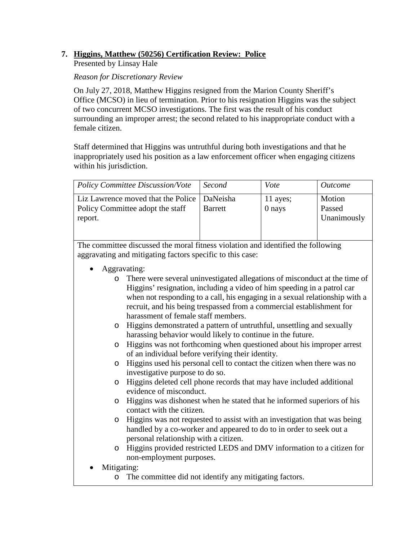## **7. Higgins, Matthew (50256) Certification Review: Police**

Presented by Linsay Hale

### *Reason for Discretionary Review*

On July 27, 2018, Matthew Higgins resigned from the Marion County Sheriff's Office (MCSO) in lieu of termination. Prior to his resignation Higgins was the subject of two concurrent MCSO investigations. The first was the result of his conduct surrounding an improper arrest; the second related to his inappropriate conduct with a female citizen.

Staff determined that Higgins was untruthful during both investigations and that he inappropriately used his position as a law enforcement officer when engaging citizens within his jurisdiction.

| <b>Policy Committee Discussion/Vote</b>                                                      | Second         | Vote               | <i>Outcome</i>                  |
|----------------------------------------------------------------------------------------------|----------------|--------------------|---------------------------------|
| Liz Lawrence moved that the Police   DaNeisha<br>Policy Committee adopt the staff<br>report. | <b>Barrett</b> | 11 ayes;<br>0 nays | Motion<br>Passed<br>Unanimously |

- Aggravating:
	- o There were several uninvestigated allegations of misconduct at the time of Higgins' resignation, including a video of him speeding in a patrol car when not responding to a call, his engaging in a sexual relationship with a recruit, and his being trespassed from a commercial establishment for harassment of female staff members.
	- o Higgins demonstrated a pattern of untruthful, unsettling and sexually harassing behavior would likely to continue in the future.
	- o Higgins was not forthcoming when questioned about his improper arrest of an individual before verifying their identity.
	- o Higgins used his personal cell to contact the citizen when there was no investigative purpose to do so.
	- o Higgins deleted cell phone records that may have included additional evidence of misconduct.
	- o Higgins was dishonest when he stated that he informed superiors of his contact with the citizen.
	- o Higgins was not requested to assist with an investigation that was being handled by a co-worker and appeared to do to in order to seek out a personal relationship with a citizen.
	- o Higgins provided restricted LEDS and DMV information to a citizen for non-employment purposes.
- Mitigating:
	- o The committee did not identify any mitigating factors.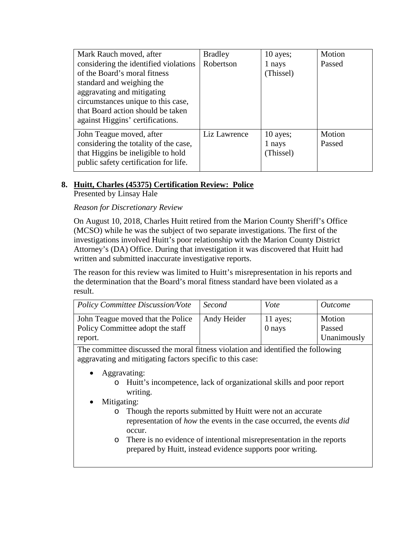| Mark Rauch moved, after<br>considering the identified violations<br>of the Board's moral fitness<br>standard and weighing the<br>aggravating and mitigating<br>circumstances unique to this case,<br>that Board action should be taken<br>against Higgins' certifications. | <b>Bradley</b><br>Robertson | $10$ ayes;<br>1 nays<br>(Thissel) | Motion<br>Passed |
|----------------------------------------------------------------------------------------------------------------------------------------------------------------------------------------------------------------------------------------------------------------------------|-----------------------------|-----------------------------------|------------------|
| John Teague moved, after<br>considering the totality of the case,<br>that Higgins be ineligible to hold<br>public safety certification for life.                                                                                                                           | Liz Lawrence                | $10$ ayes;<br>1 nays<br>(Thissel) | Motion<br>Passed |

## **8. Huitt, Charles (45375) Certification Review: Police**

Presented by Linsay Hale

### *Reason for Discretionary Review*

On August 10, 2018, Charles Huitt retired from the Marion County Sheriff's Office (MCSO) while he was the subject of two separate investigations. The first of the investigations involved Huitt's poor relationship with the Marion County District Attorney's (DA) Office. During that investigation it was discovered that Huitt had written and submitted inaccurate investigative reports.

The reason for this review was limited to Huitt's misrepresentation in his reports and the determination that the Board's moral fitness standard have been violated as a result.

| <b>Policy Committee Discussion/Vote</b>                                          | Second      | Vote               | <i>Outcome</i>                  |
|----------------------------------------------------------------------------------|-------------|--------------------|---------------------------------|
| John Teague moved that the Police<br>Policy Committee adopt the staff<br>report. | Andy Heider | 11 ayes;<br>0 nays | Motion<br>Passed<br>Unanimously |

- Aggravating:
	- o Huitt's incompetence, lack of organizational skills and poor report writing.
- Mitigating:
	- o Though the reports submitted by Huitt were not an accurate representation of *how* the events in the case occurred, the events *did* occur.
	- o There is no evidence of intentional misrepresentation in the reports prepared by Huitt, instead evidence supports poor writing.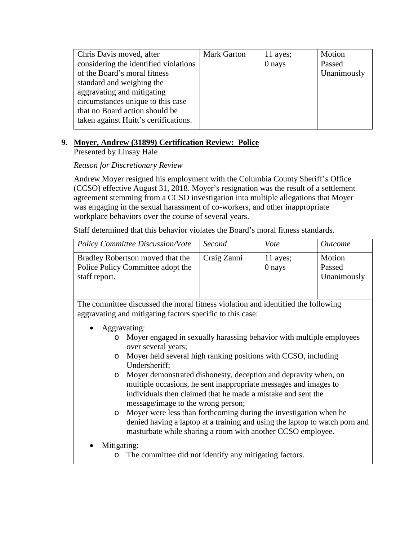| Chris Davis moved, after              | <b>Mark Garton</b> | 11 ayes; | Motion      |
|---------------------------------------|--------------------|----------|-------------|
| considering the identified violations |                    | 0 nays   | Passed      |
| of the Board's moral fitness          |                    |          | Unanimously |
| standard and weighing the             |                    |          |             |
| aggravating and mitigating            |                    |          |             |
| circumstances unique to this case     |                    |          |             |
| that no Board action should be        |                    |          |             |
| taken against Huitt's certifications. |                    |          |             |
|                                       |                    |          |             |

## **9. Moyer, Andrew (31899) Certification Review: Police**

Presented by Linsay Hale

## *Reason for Discretionary Review*

Andrew Moyer resigned his employment with the Columbia County Sheriff's Office (CCSO) effective August 31, 2018. Moyer's resignation was the result of a settlement agreement stemming from a CCSO investigation into multiple allegations that Moyer was engaging in the sexual harassment of co-workers, and other inappropriate workplace behaviors over the course of several years.

Staff determined that this behavior violates the Board's moral fitness standards.

| <b>Policy Committee Discussion/Vote</b>                                                | Second      | Vote               | <i>Outcome</i>                  |
|----------------------------------------------------------------------------------------|-------------|--------------------|---------------------------------|
| Bradley Robertson moved that the<br>Police Policy Committee adopt the<br>staff report. | Craig Zanni | 11 ayes;<br>0 nays | Motion<br>Passed<br>Unanimously |

- Aggravating:
	- o Moyer engaged in sexually harassing behavior with multiple employees over several years;
	- o Moyer held several high ranking positions with CCSO, including Undersheriff;
	- o Moyer demonstrated dishonesty, deception and depravity when, on multiple occasions, he sent inappropriate messages and images to individuals then claimed that he made a mistake and sent the message/image to the wrong person;
	- o Moyer were less than forthcoming during the investigation when he denied having a laptop at a training and using the laptop to watch porn and masturbate while sharing a room with another CCSO employee.
- Mitigating:
	- o The committee did not identify any mitigating factors.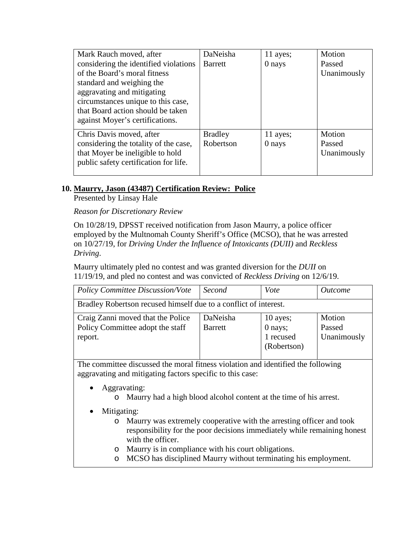| Mark Rauch moved, after               | DaNeisha       | 11 ayes; | Motion      |
|---------------------------------------|----------------|----------|-------------|
| considering the identified violations | <b>Barrett</b> | 0 nays   | Passed      |
| of the Board's moral fitness          |                |          | Unanimously |
| standard and weighing the             |                |          |             |
| aggravating and mitigating            |                |          |             |
| circumstances unique to this case,    |                |          |             |
| that Board action should be taken     |                |          |             |
| against Moyer's certifications.       |                |          |             |
| Chris Davis moved, after              | <b>Bradley</b> | 11 ayes; | Motion      |
| considering the totality of the case, | Robertson      | 0 nays   | Passed      |
| that Moyer be ineligible to hold      |                |          | Unanimously |
| public safety certification for life. |                |          |             |
|                                       |                |          |             |

## **10. Maurry, Jason (43487) Certification Review: Police**

Presented by Linsay Hale

### *Reason for Discretionary Review*

On 10/28/19, DPSST received notification from Jason Maurry, a police officer employed by the Multnomah County Sheriff's Office (MCSO), that he was arrested on 10/27/19, for *Driving Under the Influence of Intoxicants (DUII)* and *Reckless Driving*.

Maurry ultimately pled no contest and was granted diversion for the *DUII* on 11/19/19, and pled no contest and was convicted of *Reckless Driving* on 12/6/19.

| <b>Policy Committee Discussion/Vote</b>                                          | Second                     | Vote                                              | <i>Outcome</i>                  |
|----------------------------------------------------------------------------------|----------------------------|---------------------------------------------------|---------------------------------|
| Bradley Robertson recused himself due to a conflict of interest.                 |                            |                                                   |                                 |
| Craig Zanni moved that the Police<br>Policy Committee adopt the staff<br>report. | DaNeisha<br><b>Barrett</b> | 10 ayes;<br>$0$ nays;<br>1 recused<br>(Robertson) | Motion<br>Passed<br>Unanimously |

- Aggravating:
	- o Maurry had a high blood alcohol content at the time of his arrest.
- Mitigating:
	- o Maurry was extremely cooperative with the arresting officer and took responsibility for the poor decisions immediately while remaining honest with the officer.
	- o Maurry is in compliance with his court obligations.
	- o MCSO has disciplined Maurry without terminating his employment.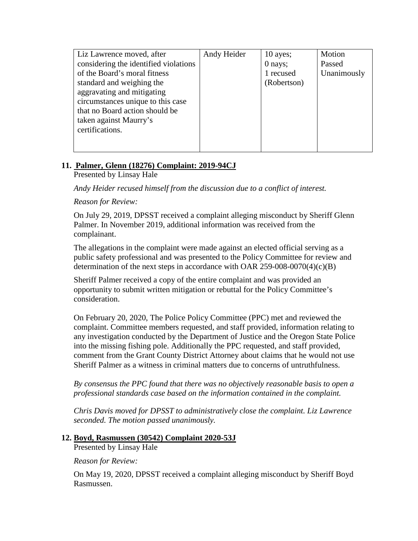| Liz Lawrence moved, after             | Andy Heider | $10$ ayes;  | Motion      |
|---------------------------------------|-------------|-------------|-------------|
| considering the identified violations |             | 0 nays;     | Passed      |
| of the Board's moral fitness          |             | 1 recused   | Unanimously |
| standard and weighing the             |             | (Robertson) |             |
| aggravating and mitigating            |             |             |             |
| circumstances unique to this case     |             |             |             |
| that no Board action should be        |             |             |             |
| taken against Maurry's                |             |             |             |
| certifications.                       |             |             |             |
|                                       |             |             |             |
|                                       |             |             |             |

## **11. Palmer, Glenn (18276) Complaint: 2019-94CJ**

Presented by Linsay Hale

*Andy Heider recused himself from the discussion due to a conflict of interest.* 

*Reason for Review:*

On July 29, 2019, DPSST received a complaint alleging misconduct by Sheriff Glenn Palmer. In November 2019, additional information was received from the complainant.

The allegations in the complaint were made against an elected official serving as a public safety professional and was presented to the Policy Committee for review and determination of the next steps in accordance with OAR 259-008-0070(4)(c)(B)

Sheriff Palmer received a copy of the entire complaint and was provided an opportunity to submit written mitigation or rebuttal for the Policy Committee's consideration.

On February 20, 2020, The Police Policy Committee (PPC) met and reviewed the complaint. Committee members requested, and staff provided, information relating to any investigation conducted by the Department of Justice and the Oregon State Police into the missing fishing pole. Additionally the PPC requested, and staff provided, comment from the Grant County District Attorney about claims that he would not use Sheriff Palmer as a witness in criminal matters due to concerns of untruthfulness.

*By consensus the PPC found that there was no objectively reasonable basis to open a professional standards case based on the information contained in the complaint.* 

*Chris Davis moved for DPSST to administratively close the complaint. Liz Lawrence seconded. The motion passed unanimously.* 

#### **12. Boyd, Rasmussen (30542) Complaint 2020-53J**

Presented by Linsay Hale

*Reason for Review:*

On May 19, 2020, DPSST received a complaint alleging misconduct by Sheriff Boyd Rasmussen.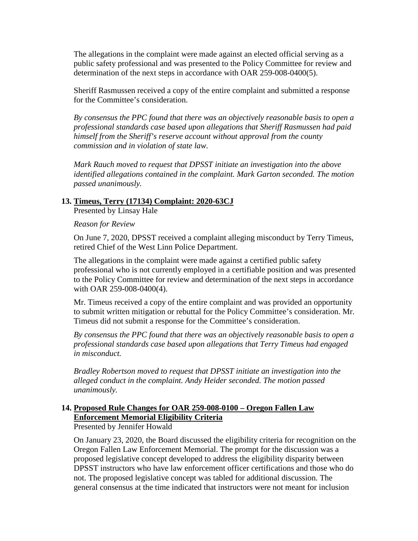The allegations in the complaint were made against an elected official serving as a public safety professional and was presented to the Policy Committee for review and determination of the next steps in accordance with OAR 259-008-0400(5).

Sheriff Rasmussen received a copy of the entire complaint and submitted a response for the Committee's consideration.

*By consensus the PPC found that there was an objectively reasonable basis to open a professional standards case based upon allegations that Sheriff Rasmussen had paid himself from the Sheriff's reserve account without approval from the county commission and in violation of state law.* 

*Mark Rauch moved to request that DPSST initiate an investigation into the above identified allegations contained in the complaint. Mark Garton seconded. The motion passed unanimously.* 

#### **13. Timeus, Terry (17134) Complaint: 2020-63CJ**

Presented by Linsay Hale

*Reason for Review*

On June 7, 2020, DPSST received a complaint alleging misconduct by Terry Timeus, retired Chief of the West Linn Police Department.

The allegations in the complaint were made against a certified public safety professional who is not currently employed in a certifiable position and was presented to the Policy Committee for review and determination of the next steps in accordance with OAR 259-008-0400(4).

Mr. Timeus received a copy of the entire complaint and was provided an opportunity to submit written mitigation or rebuttal for the Policy Committee's consideration. Mr. Timeus did not submit a response for the Committee's consideration.

*By consensus the PPC found that there was an objectively reasonable basis to open a professional standards case based upon allegations that Terry Timeus had engaged in misconduct.* 

*Bradley Robertson moved to request that DPSST initiate an investigation into the alleged conduct in the complaint. Andy Heider seconded. The motion passed unanimously.* 

## **14. Proposed Rule Changes for OAR 259-008-0100 – Oregon Fallen Law Enforcement Memorial Eligibility Criteria**

Presented by Jennifer Howald

On January 23, 2020, the Board discussed the eligibility criteria for recognition on the Oregon Fallen Law Enforcement Memorial. The prompt for the discussion was a proposed legislative concept developed to address the eligibility disparity between DPSST instructors who have law enforcement officer certifications and those who do not. The proposed legislative concept was tabled for additional discussion. The general consensus at the time indicated that instructors were not meant for inclusion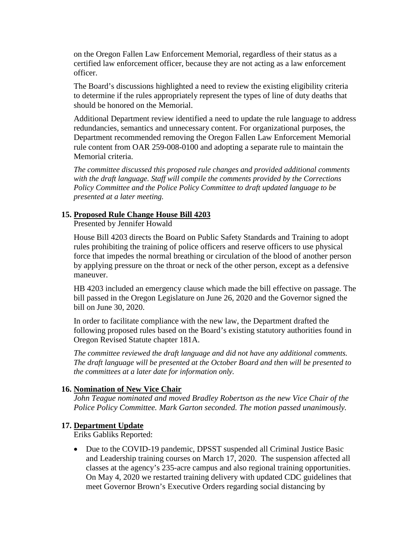on the Oregon Fallen Law Enforcement Memorial, regardless of their status as a certified law enforcement officer, because they are not acting as a law enforcement officer.

The Board's discussions highlighted a need to review the existing eligibility criteria to determine if the rules appropriately represent the types of line of duty deaths that should be honored on the Memorial.

Additional Department review identified a need to update the rule language to address redundancies, semantics and unnecessary content. For organizational purposes, the Department recommended removing the Oregon Fallen Law Enforcement Memorial rule content from OAR 259-008-0100 and adopting a separate rule to maintain the Memorial criteria.

*The committee discussed this proposed rule changes and provided additional comments with the draft language. Staff will compile the comments provided by the Corrections Policy Committee and the Police Policy Committee to draft updated language to be presented at a later meeting.* 

#### **15. Proposed Rule Change House Bill 4203**

Presented by Jennifer Howald

House Bill 4203 directs the Board on Public Safety Standards and Training to adopt rules prohibiting the training of police officers and reserve officers to use physical force that impedes the normal breathing or circulation of the blood of another person by applying pressure on the throat or neck of the other person, except as a defensive maneuver.

HB 4203 included an emergency clause which made the bill effective on passage. The bill passed in the Oregon Legislature on June 26, 2020 and the Governor signed the bill on June 30, 2020.

In order to facilitate compliance with the new law, the Department drafted the following proposed rules based on the Board's existing statutory authorities found in Oregon Revised Statute chapter 181A.

*The committee reviewed the draft language and did not have any additional comments. The draft language will be presented at the October Board and then will be presented to the committees at a later date for information only.* 

#### **16. Nomination of New Vice Chair**

*John Teague nominated and moved Bradley Robertson as the new Vice Chair of the Police Policy Committee. Mark Garton seconded. The motion passed unanimously.* 

#### **17. Department Update**

Eriks Gabliks Reported:

• Due to the COVID-19 pandemic, DPSST suspended all Criminal Justice Basic and Leadership training courses on March 17, 2020. The suspension affected all classes at the agency's 235-acre campus and also regional training opportunities. On May 4, 2020 we restarted training delivery with updated CDC guidelines that meet Governor Brown's Executive Orders regarding social distancing by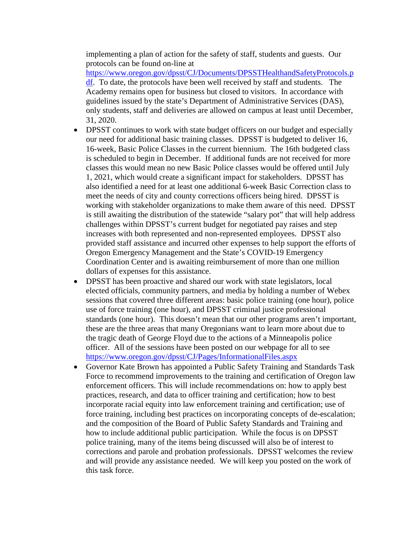implementing a plan of action for the safety of staff, students and guests. Our protocols can be found on-line at

[https://www.oregon.gov/dpsst/CJ/Documents/DPSSTHealthandSafetyProtocols.p](https://www.oregon.gov/dpsst/CJ/Documents/DPSSTHealthandSafetyProtocols.pdf) [df.](https://www.oregon.gov/dpsst/CJ/Documents/DPSSTHealthandSafetyProtocols.pdf) To date, the protocols have been well received by staff and students. The Academy remains open for business but closed to visitors. In accordance with guidelines issued by the state's Department of Administrative Services (DAS), only students, staff and deliveries are allowed on campus at least until December, 31, 2020.

- DPSST continues to work with state budget officers on our budget and especially our need for additional basic training classes. DPSST is budgeted to deliver 16, 16-week, Basic Police Classes in the current biennium. The 16th budgeted class is scheduled to begin in December. If additional funds are not received for more classes this would mean no new Basic Police classes would be offered until July 1, 2021, which would create a significant impact for stakeholders. DPSST has also identified a need for at least one additional 6-week Basic Correction class to meet the needs of city and county corrections officers being hired. DPSST is working with stakeholder organizations to make them aware of this need. DPSST is still awaiting the distribution of the statewide "salary pot" that will help address challenges within DPSST's current budget for negotiated pay raises and step increases with both represented and non-represented employees. DPSST also provided staff assistance and incurred other expenses to help support the efforts of Oregon Emergency Management and the State's COVID-19 Emergency Coordination Center and is awaiting reimbursement of more than one million dollars of expenses for this assistance.
- DPSST has been proactive and shared our work with state legislators, local elected officials, community partners, and media by holding a number of Webex sessions that covered three different areas: basic police training (one hour), police use of force training (one hour), and DPSST criminal justice professional standards (one hour). This doesn't mean that our other programs aren't important, these are the three areas that many Oregonians want to learn more about due to the tragic death of George Floyd due to the actions of a Minneapolis police officer. All of the sessions have been posted on our webpage for all to see <https://www.oregon.gov/dpsst/CJ/Pages/InformationalFiles.aspx>
- Governor Kate Brown has appointed a Public Safety Training and Standards Task Force to recommend improvements to the training and certification of Oregon law enforcement officers. This will include recommendations on: how to apply best practices, research, and data to officer training and certification; how to best incorporate racial equity into law enforcement training and certification; use of force training, including best practices on incorporating concepts of de-escalation; and the composition of the Board of Public Safety Standards and Training and how to include additional public participation. While the focus is on DPSST police training, many of the items being discussed will also be of interest to corrections and parole and probation professionals. DPSST welcomes the review and will provide any assistance needed. We will keep you posted on the work of this task force.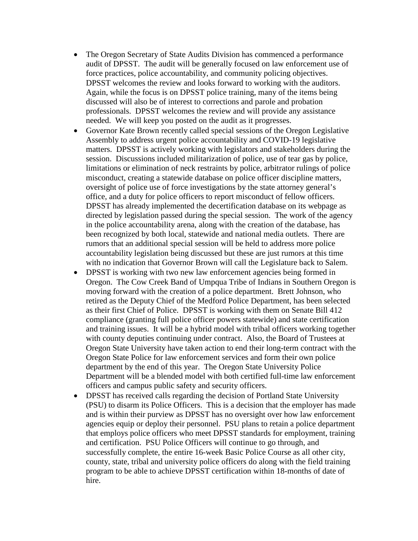- The Oregon Secretary of State Audits Division has commenced a performance audit of DPSST. The audit will be generally focused on law enforcement use of force practices, police accountability, and community policing objectives. DPSST welcomes the review and looks forward to working with the auditors. Again, while the focus is on DPSST police training, many of the items being discussed will also be of interest to corrections and parole and probation professionals. DPSST welcomes the review and will provide any assistance needed. We will keep you posted on the audit as it progresses.
- Governor Kate Brown recently called special sessions of the Oregon Legislative Assembly to address urgent police accountability and COVID-19 legislative matters. DPSST is actively working with legislators and stakeholders during the session. Discussions included militarization of police, use of tear gas by police, limitations or elimination of neck restraints by police, arbitrator rulings of police misconduct, creating a statewide database on police officer discipline matters, oversight of police use of force investigations by the state attorney general's office, and a duty for police officers to report misconduct of fellow officers. DPSST has already implemented the decertification database on its webpage as directed by legislation passed during the special session. The work of the agency in the police accountability arena, along with the creation of the database, has been recognized by both local, statewide and national media outlets. There are rumors that an additional special session will be held to address more police accountability legislation being discussed but these are just rumors at this time with no indication that Governor Brown will call the Legislature back to Salem.
- DPSST is working with two new law enforcement agencies being formed in Oregon. The Cow Creek Band of Umpqua Tribe of Indians in Southern Oregon is moving forward with the creation of a police department. Brett Johnson, who retired as the Deputy Chief of the Medford Police Department, has been selected as their first Chief of Police. DPSST is working with them on Senate Bill 412 compliance (granting full police officer powers statewide) and state certification and training issues. It will be a hybrid model with tribal officers working together with county deputies continuing under contract. Also, the Board of Trustees at Oregon State University have taken action to end their long-term contract with the Oregon State Police for law enforcement services and form their own police department by the end of this year. The Oregon State University Police Department will be a blended model with both certified full-time law enforcement officers and campus public safety and security officers.
- DPSST has received calls regarding the decision of Portland State University (PSU) to disarm its Police Officers. This is a decision that the employer has made and is within their purview as DPSST has no oversight over how law enforcement agencies equip or deploy their personnel. PSU plans to retain a police department that employs police officers who meet DPSST standards for employment, training and certification. PSU Police Officers will continue to go through, and successfully complete, the entire 16-week Basic Police Course as all other city, county, state, tribal and university police officers do along with the field training program to be able to achieve DPSST certification within 18-months of date of hire.